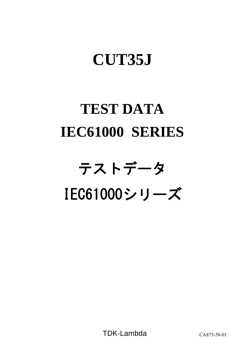## **CUT35J**

# **TEST DATA IEC61000 SERIES**

# テストデータ IEC61000シリーズ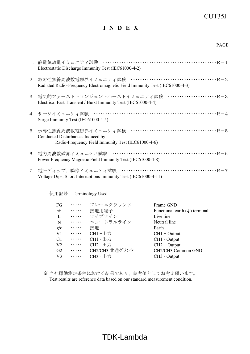## CUT35J

## **I N D E X**

| 1.静電気放電イミュニティ試験<br>Electrostatic Discharge Immunity Test (IEC61000-4-2)                                          |
|------------------------------------------------------------------------------------------------------------------|
| Radiated Radio-Frequency Electromagnetic Field Immunity Test (IEC61000-4-3)                                      |
| Electrical Fast Transient / Burst Immunity Test (IEC61000-4-4)                                                   |
| 4.サージイミュニティ試験<br>Surge Immunity Test (IEC61000-4-5)                                                              |
| 5.伝導性無線周波数電磁界イミュニティ試験<br>Conducted Disturbances Induced by<br>Radio-Frequency Field Immunity Test (IEC61000-4-6) |
| 6.電力周波数磁界イミュニティ試験<br>Power Frequency Magnetic Field Immunity Test (IEC61000-4-8)                                 |
| 7.電圧ディップ、瞬停イミュニティ試験<br>Voltage Dips, Short Interruptions Immunity Test (IEC61000-4-11)                           |

使用記号 Terminology Used

| FG             | $\cdots$ | フレームグラウンド       | Frame GND                               |
|----------------|----------|-----------------|-----------------------------------------|
| $\pm$          | .        | 接地用端子           | Functional earth $($ $\pm$ $)$ terminal |
| $\mathbf{L}$   | $\cdots$ | ライブライン          | Live line                               |
| $\mathbf N$    | $\cdots$ | ニュートラルライン       | Neutral line                            |
|                | $\cdots$ | 接地              | Earth                                   |
| V <sub>1</sub> | $\cdots$ | CH1+出力          | $CH1 + Output$                          |
| G <sub>1</sub> | $\cdots$ | <b>CH1 - 出力</b> | CH1 - Output                            |
| V <sub>2</sub> | $\cdots$ | CH2+出力          | $CH2 + Output$                          |
| G2             | $\cdots$ | CH2/CH3 共通グランド  | CH2/CH3 Common GND                      |
| V <sub>3</sub> | .        | CH3 - 出力        | CH <sub>3</sub> - Output                |

※ 当社標準測定条件における結果であり、参考値としてお考え願います。 Test results are reference data based on our standard measurement condition.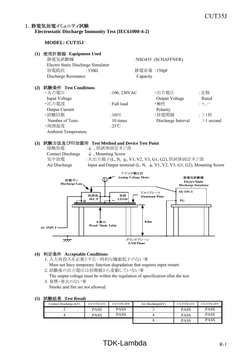#### 1. 静雷気放雷イミュニティ試験 **Electrostatic Discharge Immunity Test (IEC61000-4-2)**

#### **MODEL: CUT35J**

#### **(1)** 使用計測器 **Equipment Used** 静電気試験機 :NSG435 (SCHAFFNER) Electro Static Discharge Simulator  *放電抵抗* $:330Ω$ **静電容量** $:150pF$ Discharge Resistance Capacity **(2)** 試験条件 **Test Conditions** ・入力電圧 :100, 230VAC ・出力電圧 :定格 Input Voltage Output Voltage Rated ・出力電流 :Full load ・極性 :+,- Output Current Polarity •試験回数 :10回 •放電間隔 :>1秒 Number of Tests 10 times Discharge Interval  $>1$  second ・周囲温度 :25℃ Ambient Temperature

#### **(3)** 試験方法及び印加箇所 **Test Method and Device Test Point**

接触放電 : 上、供試体固定ネジ部 Contact Discharge  $\quad \perp$ , Mounting Screw 気中放電 :入出力端子(L, N, ±, V1, V2, V3, G1, G2), 供試体固定ネジ部 Air Discharge Input and Output terminal  $(L, N, \pm V1, V2, V3, G1, G2)$ , Mounting Screw



#### **(4)** 判定条件 **Acceptable Conditions**

- 1. 入力再投入を必要とする一時的な機能低下のない事
- Must not have temporary function degradation that requires input restart.
- 2. 試験後の出力電圧は初期値から変動していない事

The output voltage must be within the regulation of specification after the test.

3. 発煙・発火のない事 Smoke and fire are not allowed.

| 試験結果<br>(5)<br><b>Test Result</b> |
|-----------------------------------|
|-----------------------------------|

| .                      |            |             |                   |             |             |
|------------------------|------------|-------------|-------------------|-------------|-------------|
| Contact Discharge (kV) | CUT35J-522 | CUT35J-5FF  | Air Discharge(kV) | CUT35J-522  | CUT35J-5FF  |
|                        | PASS       | <b>PASS</b> |                   | <b>PASS</b> | <b>PASS</b> |
|                        | PASS       | <b>PASS</b> |                   | <b>PASS</b> | <b>PASS</b> |
|                        |            |             |                   | <b>PASS</b> | <b>PASS</b> |

## $TDK-Lambda$  R-1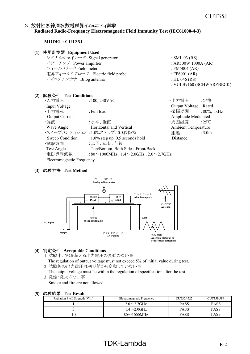#### 2. 放射性無線周波数電磁界イミュニティ試験

#### **Radiated Radio-Frequency Electromagnetic Field Immunity Test (IEC61000-4-3)**

#### **MODEL: CUT35J**

#### **(1)** 使用計測器 **Equipment Used** シグナルジェネレータ Signal generator : SML 03 (RS)  $\sqrt{7}$  Power amplifier : AR500W 1000A (AR) フィールドメータ Field meter  $\qquad \qquad$ : FM5004 (AR) 電界フィールドプローブ Electric field probe : FP6001 (AR) バイログアンテナ Bilog antenna : HL 046 (RS) : VULB9160 (SCHWARZBECK) **(2)** 試験条件 **Test Conditions** ・入力電圧 :100, 230VAC ・出力電圧 :定格

| <b>Input Voltage</b>      |                                                          | Output Voltage Rated       |                   |
|---------------------------|----------------------------------------------------------|----------------------------|-------------------|
| ・出力電流                     | : Full load                                              | ・振幅変調 :80%, 1kHz           |                   |
| <b>Output Current</b>     |                                                          | Amplitude Modulated        |                   |
| ・偏波                       | :水平、垂直                                                   | •周囲温度   :25℃               |                   |
| Wave Angle                | Horizontal and Vertical                                  | <b>Ambient Temperature</b> |                   |
|                           | ・スイープコンディション :1.0%ステップ、0.5秒保持                            | ・距離                        | :3.0 <sub>m</sub> |
| Sweep Condition           | $1.0\%$ step up, 0.5 seconds hold                        | Distance                   |                   |
| ·試験方向                     | :上下、左右、前後                                                |                            |                   |
| Test Angle                | Top/Bottom, Both Sides, Front/Back                       |                            |                   |
| ・電磁界周波数                   | :80 $\sim$ 1000MHz, 1.4 $\sim$ 2.0GHz, 2.0 $\sim$ 2.7GHz |                            |                   |
| Electromagnetic Frequency |                                                          |                            |                   |

#### **(3)** 試験方法 **Test Method**



#### **(4)** 判定条件 **Acceptable Conditions**

- 1. 試験中、5%を超える出力電圧の変動のない事
- The regulation of output voltage must not exceed 5% of initial value during test. 2. 試験後の出力電圧は初期値から変動していない事
- The output voltage must be within the regulation of specification after the test.
- 3. 発煙・発火のない事

Smoke and fire are not allowed.

#### **(5)** 試験結果 **Test Result**

| Radiation Field Strength (V/m) | Electromagnetic Frequency         | CUT35J-522  | CUT35J-5FF  |
|--------------------------------|-----------------------------------|-------------|-------------|
|                                | $2.0 \sim 2.7$ GHz                | <b>PASS</b> | PASS        |
|                                | $1.4\mathtt{\sim}2.0\mathrm{GHz}$ | <b>PASS</b> | <b>PASS</b> |
|                                | $80\sim1000$ MHz                  | <b>PASS</b> | PASS        |

## $TDK-Lambda$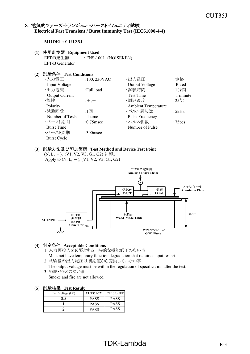#### 3. 電気的ファーストトランジェントバーストイミュニティ試験 **Electrical Fast Transient / Burst Immunity Test (IEC61000-4-4)**

#### **MODEL: CUT35J**

#### **(1)** 使用計測器 **Equipment Used**

EFT/B発生器 : FNS-100L (NOISEKEN) EFT/B Generator

#### **(2)** 試験条件 **Test Conditions**

| $:100,230$ VAC | ・出力電圧                  | :定格                 |
|----------------|------------------------|---------------------|
|                | Output Voltage         | Rated               |
| : Full load    | ・試験時間                  | :1分間                |
|                | <b>Test Time</b>       | 1 minute            |
| $;+, -$        | ・周囲温度                  | :25 $\mathrm{C}$    |
|                |                        |                     |
| :1回            | ・パルス周波数                | :5kHz               |
| 1 time         | <b>Pulse Frequency</b> |                     |
| $:0.75$ msec   | ・パルス個数                 | :75 <sub>pcs</sub>  |
|                | Number of Pulse        |                     |
| $:300$ msec    |                        |                     |
|                |                        |                     |
|                |                        | Ambient Temperature |

#### **(3)** 試験方法及び印加箇所 **Test Method and Device Test Point**

(N, L, )、(V1, V2, V3, G1, G2) に印加 Apply to  $(N, L, \frac{1}{2})$ ,  $(V1, V2, V3, G1, G2)$ 



#### **(4)** 判定条件 **Acceptable Conditions**

- 1. 入力再投入を必要とする一時的な機能低下のない事
- Must not have temporary function degradation that requires input restart.
- 2. 試験後の出力電圧は初期値から変動していない事
- The output voltage must be within the regulation of specification after the test. 3. 発煙・発火のない事
	- Smoke and fire are not allowed.

| Test Voltage (kV) | CUT35J-522  | <b>CUT35J-5FF</b> |
|-------------------|-------------|-------------------|
|                   | <b>PASS</b> | <b>PASS</b>       |
|                   | <b>PASS</b> | <b>PASS</b>       |
|                   | <b>PASS</b> | <b>PASS</b>       |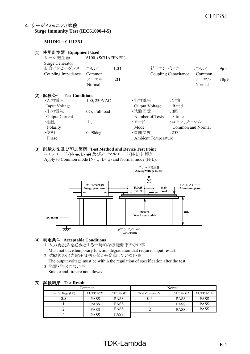#### 4.サージイミュニティ試験 **Surge Immunity Test (IEC61000-4-5)**

#### **MODEL: CUT35J**

| (1) | 使用計測器 Equipment Used                                           |                          |                         |                |                            |                      |                                  |                        |
|-----|----------------------------------------------------------------|--------------------------|-------------------------|----------------|----------------------------|----------------------|----------------------------------|------------------------|
|     | サージ発生器                                                         | $:6100$ (SCHAFFNER)      |                         |                |                            |                      |                                  |                        |
|     | <b>Surge Generator</b><br>結合インピーダンス :コモン<br>Coupling Impedance | Common<br>ノーマル<br>Normal | $12\Omega$<br>$2\Omega$ |                | 結合コンデンサ                    | Coupling Capacitance | :コモン<br>Common<br>ノーマル<br>Normal | $9 \mu F$<br>$18\mu F$ |
| (2) | 試験条件 Test Conditions                                           |                          |                         |                |                            |                      |                                  |                        |
|     | ・入力電圧                                                          | $:100,230$ VAC           |                         | ・出力電圧          |                            | :定格                  |                                  |                        |
|     | Input Voltage                                                  |                          |                         | Output Voltage |                            | Rated                |                                  |                        |
|     | ・出力電流                                                          | :0%, Full load           |                         | ・試験回数          |                            | $:3 \square$         |                                  |                        |
|     | <b>Output Current</b>                                          |                          |                         |                | Number of Tests            | 3 times              |                                  |                        |
|     | ・極性                                                            | $;+, -$                  |                         | ・モード           |                            | :コモン、ノーマル            |                                  |                        |
|     | Polarity                                                       |                          |                         | Mode           |                            |                      | Common and Normal                |                        |
|     | ・位相                                                            | $:0,90$ deg              |                         | ・周囲温度          |                            | :25°C                |                                  |                        |
|     | Phase                                                          |                          |                         |                | <b>Ambient Temperature</b> |                      |                                  |                        |
|     |                                                                |                          |                         |                |                            |                      |                                  |                        |

#### **(3)** 試験方法及び印加箇所 **Test Method and Device Test Point**

コモンモード (N- +, L- +) 及びノーマルモード (N-L) に印加 Apply to Common mode (N-  $\overline{+}$ , L-  $\overline{+}$ ) and Normal mode (N-L).



#### **(4)** 判定条件 **Acceptable Conditions**

- 1. 入力再投入を必要とする一時的な機能低下のない事
- Must not have temporary function degradation that requires input restart.
- 2. 試験後の出力電圧は初期値から変動していない事
	- The output voltage must be within the regulation of specification after the test.
- 3. 発煙・発火のない事 Smoke and fire are not allowed.

#### **(5)** 試験結果 **Test Result**

| Common:           |             |             |                   | Normal      |             |
|-------------------|-------------|-------------|-------------------|-------------|-------------|
| Test Voltage (kV) | CUT35J-522  | CUT35J-5FF  | Test Voltage (kV) | CUT35J-522  | CUT35J-5FF  |
|                   | <b>PASS</b> | <b>PASS</b> | 0.5               | <b>PASS</b> | <b>PASS</b> |
|                   | <b>PASS</b> | <b>PASS</b> |                   | <b>PASS</b> | <b>PASS</b> |
|                   | <b>PASS</b> | <b>PASS</b> |                   | <b>PASS</b> | <b>PASS</b> |
|                   | <b>PASS</b> | <b>PASS</b> |                   |             |             |

## $TDK-Lambda$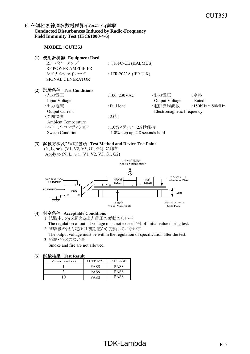#### 5. 伝導性無線周波数電磁界イミュニティ試験

**Conducted Disturbances Induced by Radio-Frequency Field Immunity Test (IEC61000-4-6)**

#### **MODEL: CUT35J**

| (1) | 使用計測器 Equipment Used       |                                   |                           |                      |
|-----|----------------------------|-----------------------------------|---------------------------|----------------------|
|     | RF パワーアンプ                  | : $116FC-CE$ (KALMUS)             |                           |                      |
|     | <b>RF POWER AMPLIFIER</b>  |                                   |                           |                      |
|     | シグナルジェネレータ                 | : IFR 2023A (IFR U.K)             |                           |                      |
|     | <b>SIGNAL GENERATOR</b>    |                                   |                           |                      |
|     |                            |                                   |                           |                      |
| (2) | 試験条件 Test Conditions       |                                   |                           |                      |
|     | ・入力雷圧                      | $:100,230$ VAC                    | ・出力電圧                     | :定格                  |
|     | Input Voltage              |                                   | Output Voltage            | Rated                |
|     | ・出力電流                      | : Full load                       | ・電磁界周波数                   | :150kHz $\sim$ 80MHz |
|     | <b>Output Current</b>      |                                   | Electromagnetic Frequency |                      |
|     | ・周囲温度                      | :25 $\degree$ C                   |                           |                      |
|     | <b>Ambient Temperature</b> |                                   |                           |                      |
|     | ・スイープ・コンディション              | :1.0%ステップ、2.8秒保持                  |                           |                      |
|     | Sweep Condition            | $1.0\%$ step up, 2.8 seconds hold |                           |                      |
|     |                            |                                   |                           |                      |

#### **(3)** 試験方法及び印加箇所 **Test Method and Device Test Point**

(N, L,  $\neq$ ), (V1, V2, V3, G1, G2) に印加 Apply to  $(N, L, \frac{1}{2})$ ,  $(V1, V2, V3, G1, G2)$ 



#### **(4)** 判定条件 **Acceptable Conditions**

1. 試験中、5%を超える出力電圧の変動のない事 The regulation of output voltage must not exceed 5% of initial value during test.

2. 試験後の出力電圧は初期値から変動していない事 The output voltage must be within the regulation of specification after the test.

3. 発煙・発火のない事 Smoke and fire are not allowed.

| -----------       |             |             |
|-------------------|-------------|-------------|
| Voltage Level (V) | CUT35J-522  | CUT35J-5FF  |
|                   | <b>PASS</b> | <b>PASS</b> |
|                   | PASS        | PASS        |
|                   | PASS        | PASS        |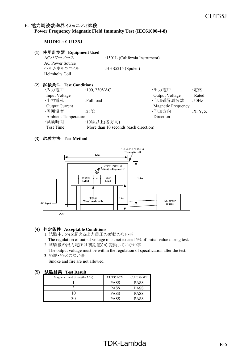## 6. 電力周波数磁界イミュニティ試験

#### **Power Frequency Magnetic Field Immunity Test (IEC61000-4-8)**

#### **MODEL: CUT35J**

#### **(1)** 使用計測器 **Equipment Used**

ACパワーソース :1501L (California Instrument) AC Power Source ヘルムホルツコイル :HHS5215 (Spulen) Helmholts Coil

#### **(2)** 試験条件 **Test Conditions**

| ・入力電圧                 | $:100,230$ VAC                        | ・出力電圧                     | :定格      |
|-----------------------|---------------------------------------|---------------------------|----------|
| Input Voltage         |                                       | Output Voltage            | Rated    |
| ・出力電流                 | : Full load                           | ·印加磁界周波数                  | :50Hz    |
| <b>Output Current</b> |                                       | <b>Magnetic Frequency</b> |          |
| ・周囲温度                 | :25 $\mathrm{C}$                      | ・印加方向                     | :X, Y, Z |
|                       | <b>Ambient Temperature</b>            | Direction                 |          |
| ・試験時間                 | :10秒以上(各方向)                           |                           |          |
| Test Time             | More than 10 seconds (each direction) |                           |          |

#### **(3)** 試験方法 **Test Method**



#### **(4)** 判定条件 **Acceptable Conditions**

- 1. 試験中、5%を超える出力電圧の変動のない事 The regulation of output voltage must not exceed 5% of initial value during test.
- 2. 試験後の出力電圧は初期値から変動していない事
- The output voltage must be within the regulation of specification after the test. 3. 発煙・発火のない事

Smoke and fire are not allowed.

| Magnetic Field Strength $(A/m)$ | CUT35J-522  | CUT35J-5FF  |
|---------------------------------|-------------|-------------|
|                                 | <b>PASS</b> | <b>PASS</b> |
|                                 | <b>PASS</b> | <b>PASS</b> |
|                                 | <b>PASS</b> | <b>PASS</b> |
|                                 | <b>PASS</b> | <b>PASS</b> |